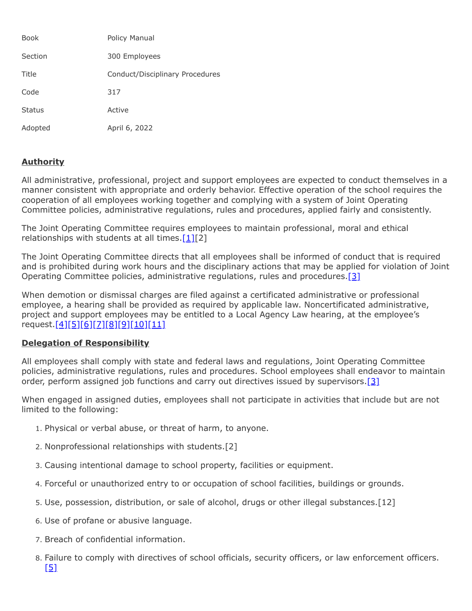| <b>Book</b>   | Policy Manual                   |
|---------------|---------------------------------|
| Section       | 300 Employees                   |
| Title         | Conduct/Disciplinary Procedures |
| Code          | 317                             |
| <b>Status</b> | Active                          |
| Adopted       | April 6, 2022                   |

## **Authority**

All administrative, professional, project and support employees are expected to conduct themselves in a manner consistent with appropriate and orderly behavior. Effective operation of the school requires the cooperation of all employees working together and complying with a system of Joint Operating Committee policies, administrative regulations, rules and procedures, applied fairly and consistently.

The Joint Operating Committee requires employees to maintain professional, moral and ethical relationships with students at all times. $[1][2]$  $[1][2]$ 

The Joint Operating Committee directs that all employees shall be informed of conduct that is required and is prohibited during work hours and the disciplinary actions that may be applied for violation of Joint Operating Committee policies, administrative regulations, rules and procedures.<sup>[3]</sup>

When demotion or dismissal charges are filed against a certificated administrative or professional employee, a hearing shall be provided as required by applicable law. Noncertificated administrative, project and support employees may be entitled to a Local Agency Law hearing, at the employee's request.[<u>4][\[5\]](http://www.legis.state.pa.us/cfdocs/legis/LI/uconsCheck.cfm?txtType=HTM&yr=1949&sessInd=0&smthLwInd=0&act=14&chpt=11&sctn=22&subsctn=0)[\[6\]](http://www.legis.state.pa.us/cfdocs/legis/LI/uconsCheck.cfm?txtType=HTM&yr=1949&sessInd=0&smthLwInd=0&act=14&chpt=11&sctn=26&subsctn=0)[\[7\]](http://www.legis.state.pa.us/cfdocs/legis/LI/uconsCheck.cfm?txtType=HTM&yr=1949&sessInd=0&smthLwInd=0&act=14&chpt=11&sctn=27&subsctn=0)[\[8\]](http://www.legis.state.pa.us/cfdocs/legis/LI/uconsCheck.cfm?txtType=HTM&yr=1949&sessInd=0&smthLwInd=0&act=14&chpt=11&sctn=28&subsctn=0)[\[9\]](http://www.legis.state.pa.us/cfdocs/legis/LI/uconsCheck.cfm?txtType=HTM&yr=1949&sessInd=0&smthLwInd=0&act=14&chpt=11&sctn=29&subsctn=0)[\[10\]](http://www.legis.state.pa.us/cfdocs/legis/LI/uconsCheck.cfm?txtType=HTM&yr=1949&sessInd=0&smthLwInd=0&act=14&chpt=11&sctn=30&subsctn=0)[\[11\]](http://www.legis.state.pa.us/cfdocs/legis/LI/consCheck.cfm?txtType=HTM&ttl=02)</u>

## **Delegation of Responsibility**

All employees shall comply with state and federal laws and regulations, Joint Operating Committee policies, administrative regulations, rules and procedures. School employees shall endeavor to maintain order, perform assigned job functions and carry out directives issued by supervisors. [3]

When engaged in assigned duties, employees shall not participate in activities that include but are not limited to the following:

- 1. Physical or verbal abuse, or threat of harm, to anyone.
- 2. Nonprofessional relationships with students.[2]
- 3. Causing intentional damage to school property, facilities or equipment.
- 4. Forceful or unauthorized entry to or occupation of school facilities, buildings or grounds.
- 5. Use, possession, distribution, or sale of alcohol, drugs or other illegal substances.[12]
- 6. Use of profane or abusive language.
- 7. Breach of confidential information.
- 8. Failure to comply with directives of school officials, security officers, or law enforcement officers.  $[5]$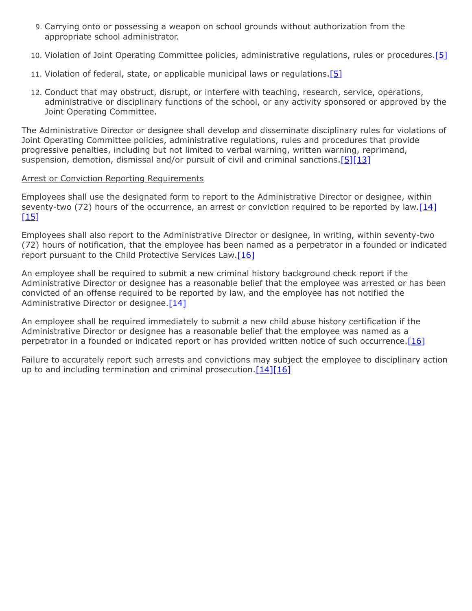- 9. Carrying onto or possessing a weapon on school grounds without authorization from the appropriate school administrator.
- 10. Violation of Joint Operating Committee policies, administrative regulations, rules or procedures.<sup>[\[5\]](http://www.legis.state.pa.us/cfdocs/legis/LI/uconsCheck.cfm?txtType=HTM&yr=1949&sessInd=0&smthLwInd=0&act=14&chpt=11&sctn=22&subsctn=0)</sup>
- 11. Violation of federal, state, or applicable municipal laws or regulations.[\[5\]](http://www.legis.state.pa.us/cfdocs/legis/LI/uconsCheck.cfm?txtType=HTM&yr=1949&sessInd=0&smthLwInd=0&act=14&chpt=11&sctn=22&subsctn=0)
- 12. Conduct that may obstruct, disrupt, or interfere with teaching, research, service, operations, administrative or disciplinary functions of the school, or any activity sponsored or approved by the Joint Operating Committee.

The Administrative Director or designee shall develop and disseminate disciplinary rules for violations of Joint Operating Committee policies, administrative regulations, rules and procedures that provide progressive penalties, including but not limited to verbal warning, written warning, reprimand, suspension, demotion, dismissal and/or pursuit of civil and criminal sanctions.  $[5][13]$  $[5][13]$ 

## **Arrest or Conviction Reporting Requirements**

Employees shall use the designated form to report to the Administrative Director or designee, within seventy-two (72) hours of the occurrence, an arrest or conviction required to be reported by law. $[14]$  $[15]$ 

Employees shall also report to the Administrative Director or designee, in writing, within seventy-two (72) hours of notification, that the employee has been named as a perpetrator in a founded or indicated report pursuant to the Child Protective Services Law. $[16]$ 

An employee shall be required to submit a new criminal history background check report if the Administrative Director or designee has a reasonable belief that the employee was arrested or has been convicted of an offense required to be reported by law, and the employee has not notified the Administrative Director or designee. [\[14\]](http://www.legis.state.pa.us/cfdocs/legis/LI/uconsCheck.cfm?txtType=HTM&yr=1949&sessInd=0&smthLwInd=0&act=14&chpt=1&sctn=11&subsctn=0)

An employee shall be required immediately to submit a new child abuse history certification if the Administrative Director or designee has a reasonable belief that the employee was named as a perpetrator in a founded or indicated report or has provided written notice of such occurrence. [\[16\]](http://www.legis.state.pa.us/cfdocs/legis/LI/consCheck.cfm?txtType=HTM&ttl=23&div=0&chpt=63&sctn=44&subsctn=3)

Failure to accurately report such arrests and convictions may subject the employee to disciplinary action up to and including termination and criminal prosecution.  $[14][16]$  $[14][16]$